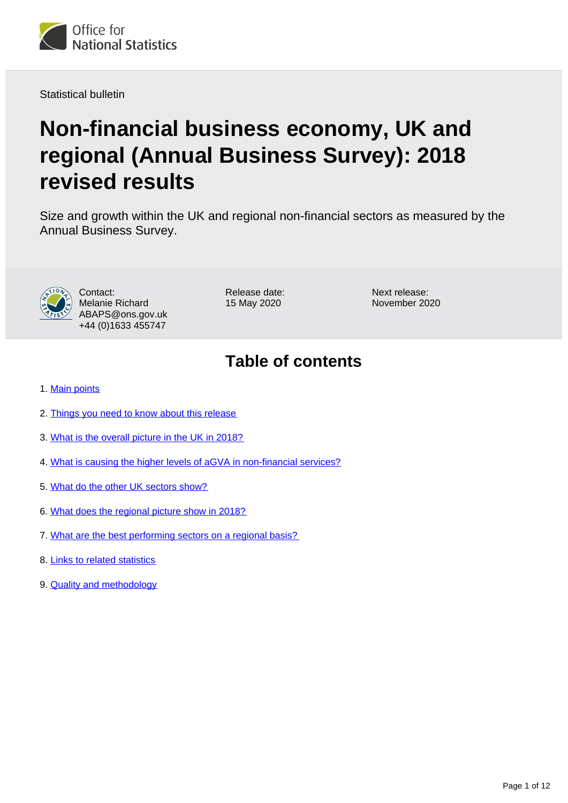

Statistical bulletin

# **Non-financial business economy, UK and regional (Annual Business Survey): 2018 revised results**

Size and growth within the UK and regional non-financial sectors as measured by the Annual Business Survey.



Contact: Melanie Richard ABAPS@ons.gov.uk +44 (0)1633 455747

Release date: 15 May 2020

Next release: November 2020

## **Table of contents**

- 1. [Main points](#page-1-0)
- 2. [Things you need to know about this release](#page-1-1)
- 3. [What is the overall picture in the UK in 2018?](#page-2-0)
- 4. [What is causing the higher levels of aGVA in non-financial services?](#page-4-0)
- 5. [What do the other UK sectors show?](#page-6-0)
- 6. [What does the regional picture show in 2018?](#page-7-0)
- 7. [What are the best performing sectors on a regional basis?](#page-9-0)
- 8. [Links to related statistics](#page-11-0)
- 9. [Quality and methodology](#page-11-1)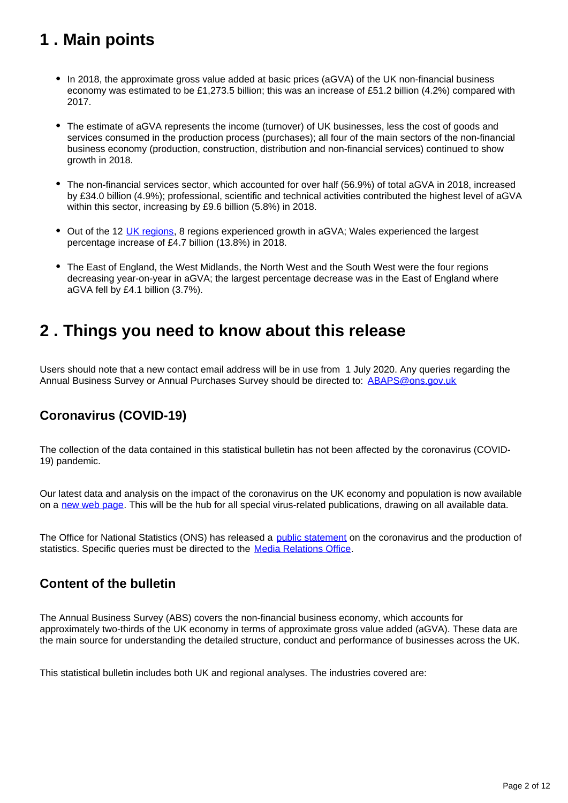## <span id="page-1-0"></span>**1 . Main points**

- In 2018, the approximate gross value added at basic prices (aGVA) of the UK non-financial business economy was estimated to be £1,273.5 billion; this was an increase of £51.2 billion (4.2%) compared with 2017.
- The estimate of aGVA represents the income (turnover) of UK businesses, less the cost of goods and services consumed in the production process (purchases); all four of the main sectors of the non-financial business economy (production, construction, distribution and non-financial services) continued to show growth in 2018.
- The non-financial services sector, which accounted for over half (56.9%) of total aGVA in 2018, increased by £34.0 billion (4.9%); professional, scientific and technical activities contributed the highest level of aGVA within this sector, increasing by £9.6 billion (5.8%) in 2018.
- Out of the 12 [UK regions](https://www.ons.gov.uk/methodology/geography/geographicalproducts/namescodesandlookups/namesandcodeslistings/namesandcodesforeurostatgeography), 8 regions experienced growth in aGVA; Wales experienced the largest percentage increase of £4.7 billion (13.8%) in 2018.
- The East of England, the West Midlands, the North West and the South West were the four regions decreasing year-on-year in aGVA; the largest percentage decrease was in the East of England where aGVA fell by £4.1 billion (3.7%).

## <span id="page-1-1"></span>**2 . Things you need to know about this release**

Users should note that a new contact email address will be in use from 1 July 2020. Any queries regarding the Annual Business Survey or Annual Purchases Survey should be directed to: **ABAPS@ons.gov.uk** 

### **Coronavirus (COVID-19)**

The collection of the data contained in this statistical bulletin has not been affected by the coronavirus (COVID-19) pandemic.

Our latest data and analysis on the impact of the coronavirus on the UK economy and population is now available on a [new web page.](https://www.ons.gov.uk/peoplepopulationandcommunity/healthandsocialcare/conditionsanddiseases) This will be the hub for all special virus-related publications, drawing on all available data.

The Office for National Statistics (ONS) has released a [public statement](https://www.ons.gov.uk/news/statementsandletters/covid19andtheproductionofstatistics) on the coronavirus and the production of statistics. Specific queries must be directed to the Media Relations Office.

### **Content of the bulletin**

The Annual Business Survey (ABS) covers the non-financial business economy, which accounts for approximately two-thirds of the UK economy in terms of approximate gross value added (aGVA). These data are the main source for understanding the detailed structure, conduct and performance of businesses across the UK.

This statistical bulletin includes both UK and regional analyses. The industries covered are: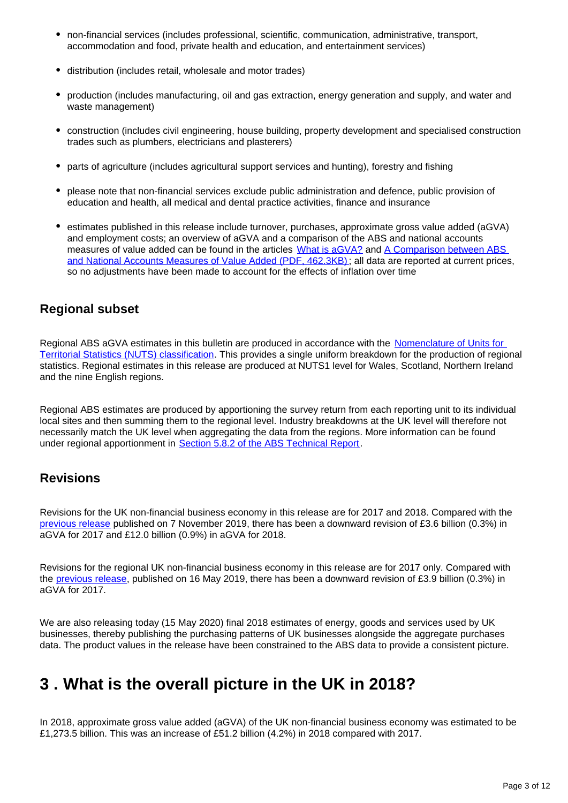- non-financial services (includes professional, scientific, communication, administrative, transport, accommodation and food, private health and education, and entertainment services)
- distribution (includes retail, wholesale and motor trades)
- production (includes manufacturing, oil and gas extraction, energy generation and supply, and water and waste management)
- construction (includes civil engineering, house building, property development and specialised construction trades such as plumbers, electricians and plasterers)
- parts of agriculture (includes agricultural support services and hunting), forestry and fishing
- please note that non-financial services exclude public administration and defence, public provision of education and health, all medical and dental practice activities, finance and insurance
- estimates published in this release include turnover, purchases, approximate gross value added (aGVA) and employment costs; an overview of aGVA and a comparison of the ABS and national accounts measures of value added can be found in the articles [What is aGVA?](http://www.ons.gov.uk/ons/rel/abs/annual-business-survey/2012-revised-results/info-agva.html) and [A Comparison between ABS](http://www.ons.gov.uk/ons/guide-method/method-quality/specific/business-and-energy/annual-business-survey/quality-and-methods/a-comparison-between-abs-and-national-accounts-measures-of-value-added.pdf)  [and National Accounts Measures of Value Added \(PDF, 462.3KB\);](http://www.ons.gov.uk/ons/guide-method/method-quality/specific/business-and-energy/annual-business-survey/quality-and-methods/a-comparison-between-abs-and-national-accounts-measures-of-value-added.pdf) all data are reported at current prices, so no adjustments have been made to account for the effects of inflation over time

### **Regional subset**

Regional ABS aGVA estimates in this bulletin are produced in accordance with the Nomenclature of Units for [Territorial Statistics \(NUTS\) classification.](https://www.ons.gov.uk/methodology/geography/geographicalproducts/namescodesandlookups/namesandcodeslistings/namesandcodesforeurostatgeography) This provides a single uniform breakdown for the production of regional statistics. Regional estimates in this release are produced at NUTS1 level for Wales, Scotland, Northern Ireland and the nine English regions.

Regional ABS estimates are produced by apportioning the survey return from each reporting unit to its individual local sites and then summing them to the regional level. Industry breakdowns at the UK level will therefore not necessarily match the UK level when aggregating the data from the regions. More information can be found under regional apportionment in **Section 5.8.2 of the ABS Technical Report**.

### **Revisions**

Revisions for the UK non-financial business economy in this release are for 2017 and 2018. Compared with the [previous release](https://www.ons.gov.uk/businessindustryandtrade/business/businessservices/bulletins/nonfinancialbusinesseconomyukandregionalannualbusinesssurvey/2018provisionalresults) published on 7 November 2019, there has been a downward revision of £3.6 billion (0.3%) in aGVA for 2017 and £12.0 billion (0.9%) in aGVA for 2018.

Revisions for the regional UK non-financial business economy in this release are for 2017 only. Compared with the [previous release,](https://www.ons.gov.uk/businessindustryandtrade/business/businessservices/bulletins/nonfinancialbusinesseconomyukandregionalannualbusinesssurvey/2017revisedresults) published on 16 May 2019, there has been a downward revision of £3.9 billion (0.3%) in aGVA for 2017.

We are also releasing today (15 May 2020) final 2018 estimates of energy, goods and services used by UK businesses, thereby publishing the purchasing patterns of UK businesses alongside the aggregate purchases data. The product values in the release have been constrained to the ABS data to provide a consistent picture.

## <span id="page-2-0"></span>**3 . What is the overall picture in the UK in 2018?**

In 2018, approximate gross value added (aGVA) of the UK non-financial business economy was estimated to be £1,273.5 billion. This was an increase of £51.2 billion (4.2%) in 2018 compared with 2017.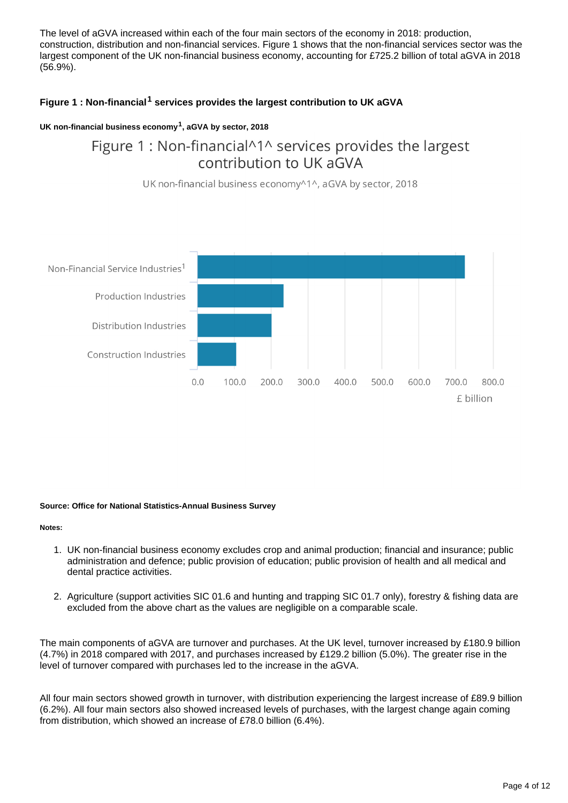The level of aGVA increased within each of the four main sectors of the economy in 2018: production, construction, distribution and non-financial services. Figure 1 shows that the non-financial services sector was the largest component of the UK non-financial business economy, accounting for £725.2 billion of total aGVA in 2018 (56.9%).

### **Figure 1 : Non-financial<sup>1</sup> services provides the largest contribution to UK aGVA**

### **UK non-financial business economy , aGVA by sector, 2018 <sup>1</sup>**

## Figure 1: Non-financial<sup>11</sup> services provides the largest contribution to UK aGVA

UK non-financial business economy<sup>^1^</sup>, aGVA by sector, 2018



#### **Source: Office for National Statistics-Annual Business Survey**

#### **Notes:**

- 1. UK non-financial business economy excludes crop and animal production; financial and insurance; public administration and defence; public provision of education; public provision of health and all medical and dental practice activities.
- 2. Agriculture (support activities SIC 01.6 and hunting and trapping SIC 01.7 only), forestry & fishing data are excluded from the above chart as the values are negligible on a comparable scale.

The main components of aGVA are turnover and purchases. At the UK level, turnover increased by £180.9 billion (4.7%) in 2018 compared with 2017, and purchases increased by £129.2 billion (5.0%). The greater rise in the level of turnover compared with purchases led to the increase in the aGVA.

All four main sectors showed growth in turnover, with distribution experiencing the largest increase of £89.9 billion (6.2%). All four main sectors also showed increased levels of purchases, with the largest change again coming from distribution, which showed an increase of £78.0 billion (6.4%).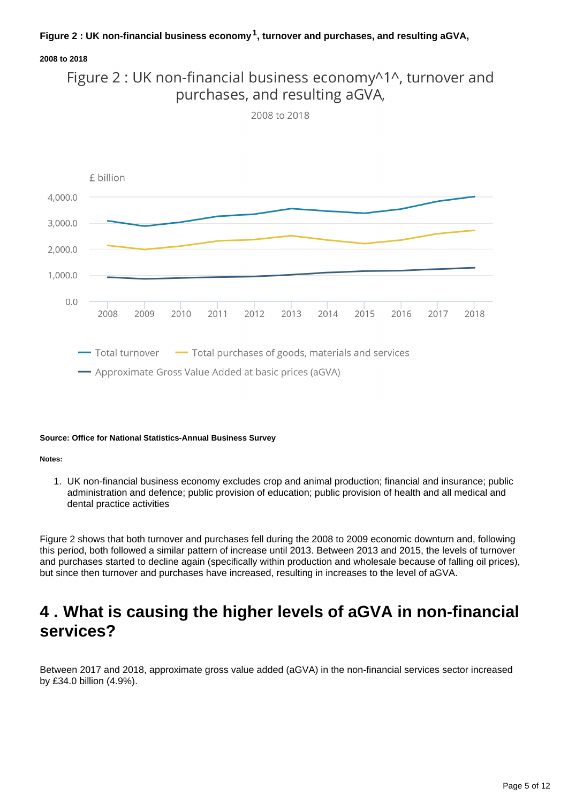### **Figure 2 : UK non-financial business economy , turnover and purchases, and resulting aGVA, <sup>1</sup>**

### **2008 to 2018**



2008 to 2018



#### **Source: Office for National Statistics-Annual Business Survey**

#### **Notes:**

1. UK non-financial business economy excludes crop and animal production; financial and insurance; public administration and defence; public provision of education; public provision of health and all medical and dental practice activities

Figure 2 shows that both turnover and purchases fell during the 2008 to 2009 economic downturn and, following this period, both followed a similar pattern of increase until 2013. Between 2013 and 2015, the levels of turnover and purchases started to decline again (specifically within production and wholesale because of falling oil prices), but since then turnover and purchases have increased, resulting in increases to the level of aGVA.

## <span id="page-4-0"></span>**4 . What is causing the higher levels of aGVA in non-financial services?**

Between 2017 and 2018, approximate gross value added (aGVA) in the non-financial services sector increased by £34.0 billion (4.9%).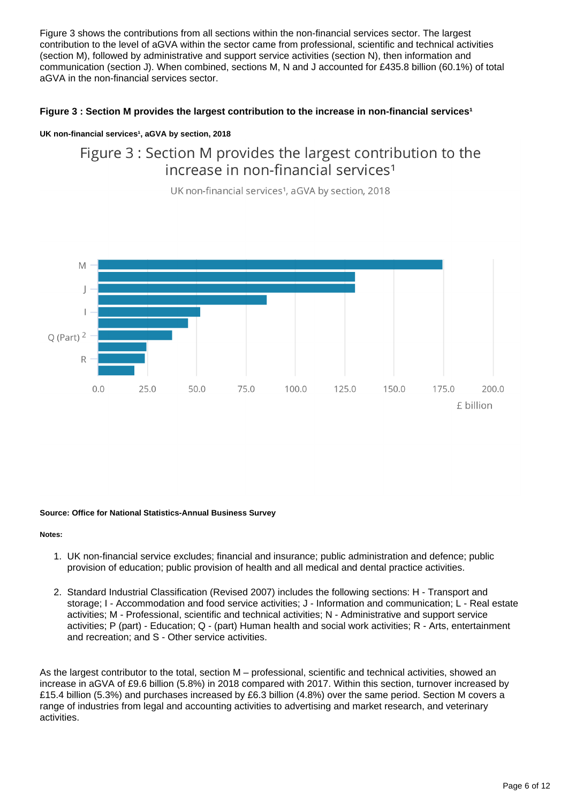Figure 3 shows the contributions from all sections within the non-financial services sector. The largest contribution to the level of aGVA within the sector came from professional, scientific and technical activities (section M), followed by administrative and support service activities (section N), then information and communication (section J). When combined, sections M, N and J accounted for £435.8 billion (60.1%) of total aGVA in the non-financial services sector.

### Figure 3 : Section M provides the largest contribution to the increase in non-financial services<sup>1</sup>

### **UK non-financial services<sup>1</sup>, aGVA by section, 2018**

### Figure 3 : Section M provides the largest contribution to the increase in non-financial services<sup>1</sup>

UK non-financial services<sup>1</sup>, aGVA by section, 2018



#### **Source: Office for National Statistics-Annual Business Survey**

#### **Notes:**

- 1. UK non-financial service excludes; financial and insurance; public administration and defence; public provision of education; public provision of health and all medical and dental practice activities.
- 2. Standard Industrial Classification (Revised 2007) includes the following sections: H Transport and storage; I - Accommodation and food service activities; J - Information and communication; L - Real estate activities; M - Professional, scientific and technical activities; N - Administrative and support service activities; P (part) - Education; Q - (part) Human health and social work activities; R - Arts, entertainment and recreation; and S - Other service activities.

As the largest contributor to the total, section M – professional, scientific and technical activities, showed an increase in aGVA of £9.6 billion (5.8%) in 2018 compared with 2017. Within this section, turnover increased by £15.4 billion (5.3%) and purchases increased by £6.3 billion (4.8%) over the same period. Section M covers a range of industries from legal and accounting activities to advertising and market research, and veterinary activities.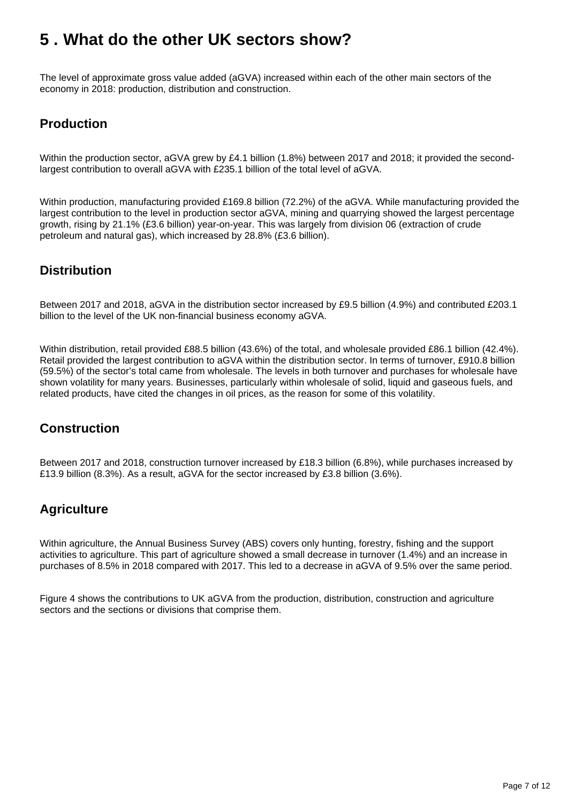## <span id="page-6-0"></span>**5 . What do the other UK sectors show?**

The level of approximate gross value added (aGVA) increased within each of the other main sectors of the economy in 2018: production, distribution and construction.

### **Production**

Within the production sector, aGVA grew by £4.1 billion (1.8%) between 2017 and 2018; it provided the secondlargest contribution to overall aGVA with £235.1 billion of the total level of aGVA.

Within production, manufacturing provided £169.8 billion (72.2%) of the aGVA. While manufacturing provided the largest contribution to the level in production sector aGVA, mining and quarrying showed the largest percentage growth, rising by 21.1% (£3.6 billion) year-on-year. This was largely from division 06 (extraction of crude petroleum and natural gas), which increased by 28.8% (£3.6 billion).

### **Distribution**

Between 2017 and 2018, aGVA in the distribution sector increased by £9.5 billion (4.9%) and contributed £203.1 billion to the level of the UK non-financial business economy aGVA.

Within distribution, retail provided £88.5 billion (43.6%) of the total, and wholesale provided £86.1 billion (42.4%). Retail provided the largest contribution to aGVA within the distribution sector. In terms of turnover, £910.8 billion (59.5%) of the sector's total came from wholesale. The levels in both turnover and purchases for wholesale have shown volatility for many years. Businesses, particularly within wholesale of solid, liquid and gaseous fuels, and related products, have cited the changes in oil prices, as the reason for some of this volatility.

### **Construction**

Between 2017 and 2018, construction turnover increased by £18.3 billion (6.8%), while purchases increased by £13.9 billion (8.3%). As a result, aGVA for the sector increased by £3.8 billion (3.6%).

### **Agriculture**

Within agriculture, the Annual Business Survey (ABS) covers only hunting, forestry, fishing and the support activities to agriculture. This part of agriculture showed a small decrease in turnover (1.4%) and an increase in purchases of 8.5% in 2018 compared with 2017. This led to a decrease in aGVA of 9.5% over the same period.

Figure 4 shows the contributions to UK aGVA from the production, distribution, construction and agriculture sectors and the sections or divisions that comprise them.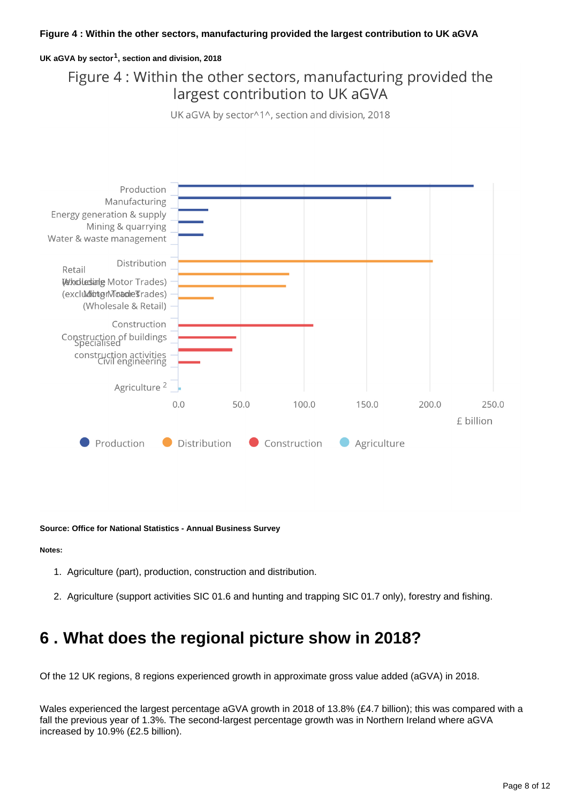### **UK aGVA by sector , section and division, 2018 <sup>1</sup>**

## Figure 4 : Within the other sectors, manufacturing provided the largest contribution to UK aGVA

UK aGVA by sector^1^, section and division, 2018



**Source: Office for National Statistics - Annual Business Survey**

#### **Notes:**

- 1. Agriculture (part), production, construction and distribution.
- 2. Agriculture (support activities SIC 01.6 and hunting and trapping SIC 01.7 only), forestry and fishing.

## <span id="page-7-0"></span>**6 . What does the regional picture show in 2018?**

Of the 12 UK regions, 8 regions experienced growth in approximate gross value added (aGVA) in 2018.

Wales experienced the largest percentage aGVA growth in 2018 of 13.8% (£4.7 billion); this was compared with a fall the previous year of 1.3%. The second-largest percentage growth was in Northern Ireland where aGVA increased by 10.9% (£2.5 billion).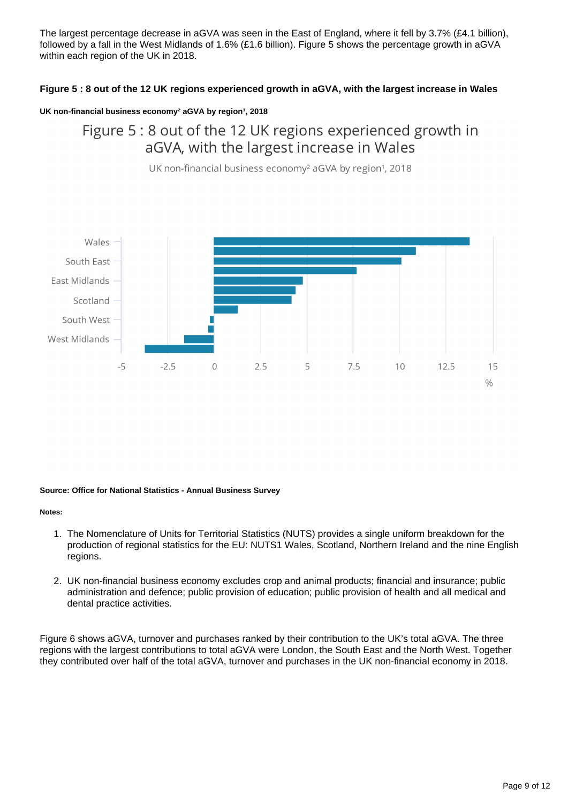The largest percentage decrease in aGVA was seen in the East of England, where it fell by 3.7% (£4.1 billion), followed by a fall in the West Midlands of 1.6% (£1.6 billion). Figure 5 shows the percentage growth in aGVA within each region of the UK in 2018.

### **Figure 5 : 8 out of the 12 UK regions experienced growth in aGVA, with the largest increase in Wales**

### UK non-financial business economy<sup>2</sup> aGVA by region<sup>1</sup>, 2018

### Figure 5: 8 out of the 12 UK regions experienced growth in aGVA, with the largest increase in Wales

UK non-financial business economy<sup>2</sup> aGVA by region<sup>1</sup>, 2018



#### **Source: Office for National Statistics - Annual Business Survey**

#### **Notes:**

- 1. The Nomenclature of Units for Territorial Statistics (NUTS) provides a single uniform breakdown for the production of regional statistics for the EU: NUTS1 Wales, Scotland, Northern Ireland and the nine English regions.
- 2. UK non-financial business economy excludes crop and animal products; financial and insurance; public administration and defence; public provision of education; public provision of health and all medical and dental practice activities.

Figure 6 shows aGVA, turnover and purchases ranked by their contribution to the UK's total aGVA. The three regions with the largest contributions to total aGVA were London, the South East and the North West. Together they contributed over half of the total aGVA, turnover and purchases in the UK non-financial economy in 2018.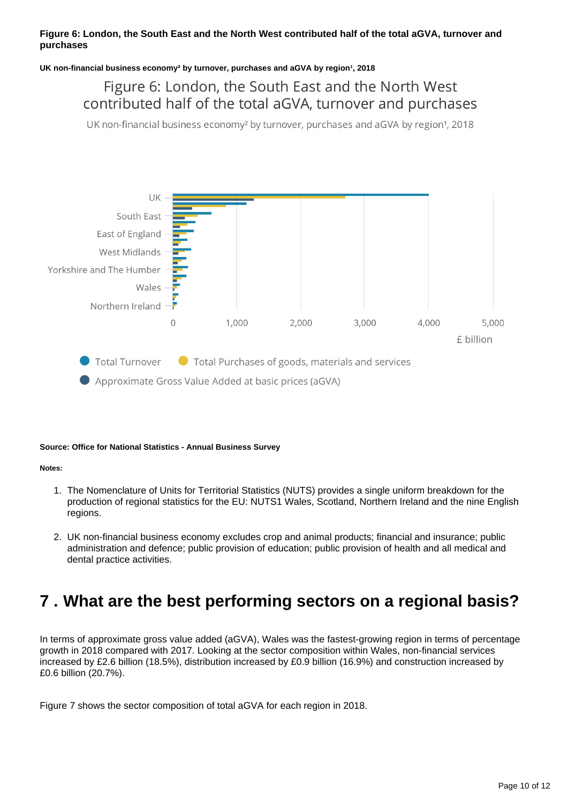### **Figure 6: London, the South East and the North West contributed half of the total aGVA, turnover and purchases**

### UK non-financial business economy<sup>2</sup> by turnover, purchases and aGVA by region<sup>1</sup>, 2018

### Figure 6: London, the South East and the North West contributed half of the total aGVA, turnover and purchases

UK non-financial business economy<sup>2</sup> by turnover, purchases and aGVA by region<sup>1</sup>, 2018



#### **Source: Office for National Statistics - Annual Business Survey**

**Notes:**

- 1. The Nomenclature of Units for Territorial Statistics (NUTS) provides a single uniform breakdown for the production of regional statistics for the EU: NUTS1 Wales, Scotland, Northern Ireland and the nine English regions.
- 2. UK non-financial business economy excludes crop and animal products; financial and insurance; public administration and defence; public provision of education; public provision of health and all medical and dental practice activities.

## <span id="page-9-0"></span>**7 . What are the best performing sectors on a regional basis?**

In terms of approximate gross value added (aGVA), Wales was the fastest-growing region in terms of percentage growth in 2018 compared with 2017. Looking at the sector composition within Wales, non-financial services increased by £2.6 billion (18.5%), distribution increased by £0.9 billion (16.9%) and construction increased by £0.6 billion (20.7%).

Figure 7 shows the sector composition of total aGVA for each region in 2018.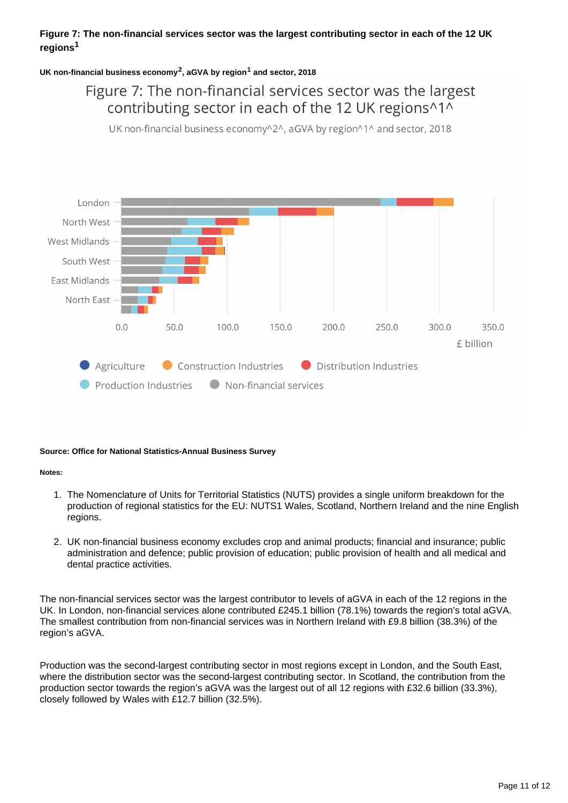### **Figure 7: The non-financial services sector was the largest contributing sector in each of the 12 UK regions<sup>1</sup>**

### UK non-financial business economy<sup>2</sup>, aGVA by region<sup>1</sup> and sector, 2018

### Figure 7: The non-financial services sector was the largest contributing sector in each of the 12 UK regions^1^

UK non-financial business economy^2^, aGVA by region^1^ and sector, 2018



#### **Source: Office for National Statistics-Annual Business Survey**

#### **Notes:**

- 1. The Nomenclature of Units for Territorial Statistics (NUTS) provides a single uniform breakdown for the production of regional statistics for the EU: NUTS1 Wales, Scotland, Northern Ireland and the nine English regions.
- 2. UK non-financial business economy excludes crop and animal products; financial and insurance; public administration and defence; public provision of education; public provision of health and all medical and dental practice activities.

The non-financial services sector was the largest contributor to levels of aGVA in each of the 12 regions in the UK. In London, non-financial services alone contributed £245.1 billion (78.1%) towards the region's total aGVA. The smallest contribution from non-financial services was in Northern Ireland with £9.8 billion (38.3%) of the region's aGVA.

Production was the second-largest contributing sector in most regions except in London, and the South East, where the distribution sector was the second-largest contributing sector. In Scotland, the contribution from the production sector towards the region's aGVA was the largest out of all 12 regions with £32.6 billion (33.3%), closely followed by Wales with £12.7 billion (32.5%).